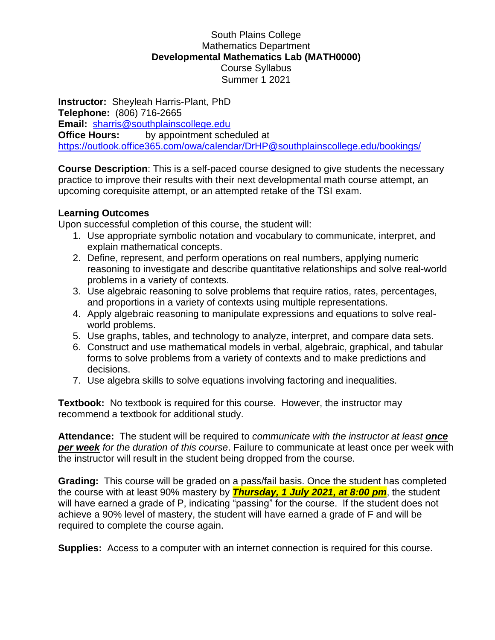# South Plains College Mathematics Department **Developmental Mathematics Lab (MATH0000)** Course Syllabus Summer 1 2021

**Instructor:** Sheyleah Harris-Plant, PhD **Telephone:** (806) 716-2665 **Email:** [sharris@southplainscollege.edu](mailto:sharris@southplainscollege.edu) **Office Hours:** by appointment scheduled at <https://outlook.office365.com/owa/calendar/DrHP@southplainscollege.edu/bookings/>

**Course Description**: This is a self-paced course designed to give students the necessary practice to improve their results with their next developmental math course attempt, an upcoming corequisite attempt, or an attempted retake of the TSI exam.

#### **Learning Outcomes**

Upon successful completion of this course, the student will:

- 1. Use appropriate symbolic notation and vocabulary to communicate, interpret, and explain mathematical concepts.
- 2. Define, represent, and perform operations on real numbers, applying numeric reasoning to investigate and describe quantitative relationships and solve real-world problems in a variety of contexts.
- 3. Use algebraic reasoning to solve problems that require ratios, rates, percentages, and proportions in a variety of contexts using multiple representations.
- 4. Apply algebraic reasoning to manipulate expressions and equations to solve realworld problems.
- 5. Use graphs, tables, and technology to analyze, interpret, and compare data sets.
- 6. Construct and use mathematical models in verbal, algebraic, graphical, and tabular forms to solve problems from a variety of contexts and to make predictions and decisions.
- 7. Use algebra skills to solve equations involving factoring and inequalities.

**Textbook:** No textbook is required for this course. However, the instructor may recommend a textbook for additional study.

**Attendance:** The student will be required to *communicate with the instructor at least once per week for the duration of this course*. Failure to communicate at least once per week with the instructor will result in the student being dropped from the course.

**Grading:** This course will be graded on a pass/fail basis. Once the student has completed the course with at least 90% mastery by *Thursday, 1 July 2021, at 8:00 pm*, the student will have earned a grade of P, indicating "passing" for the course. If the student does not achieve a 90% level of mastery, the student will have earned a grade of F and will be required to complete the course again.

**Supplies:** Access to a computer with an internet connection is required for this course.